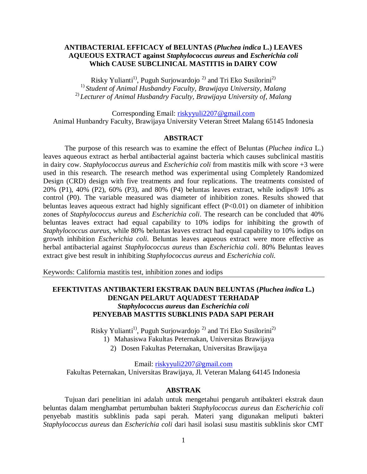## **ANTIBACTERIAL EFFICACY of BELUNTAS (***Pluchea indica* **L.) LEAVES AQUEOUS EXTRACT against** *Staphylococcus aureus* **and** *Escherichia coli* **Which CAUSE SUBCLINICAL MASTITIS in DAIRY COW**

Risky Yulianti<sup>1)</sup>, Puguh Surjowardojo<sup>2)</sup> and Tri Eko Susilorini<sup>2)</sup> 1) *Student of Animal Husbandry Faculty, Brawijaya University, Malang* 2) *Lecturer of Animal Husbandry Faculty, Brawijaya University of, Malang*

Corresponding Email: [riskyyuli2207@gmail.com](mailto:riskyyuli2207@gmail.com) Animal Hunbandry Faculty, Brawijaya University Veteran Street Malang 65145 Indonesia

### **ABSTRACT**

The purpose of this research was to examine the effect of Beluntas (*Pluchea indica* L.) leaves aqueous extract as herbal antibacterial against bacteria which causes subclinical mastitis in dairy cow. *Staphylococcus aureus* and *Escherichia coli* from mastitis milk with score +3 were used in this research. The research method was experimental using Completely Randomized Design (CRD) design with five treatments and four replications. The treatments consisted of 20% (P1), 40% (P2), 60% (P3), and 80% (P4) beluntas leaves extract, while iodips® 10% as control (P0). The variable measured was diameter of inhibition zones. Results showed that beluntas leaves aqueous extract had highly significant effect (P<0.01) on diameter of inhibition zones of *Staphylococcus aureus* and *Escherichia coli*. The research can be concluded that 40% beluntas leaves extract had equal capability to 10% iodips for inhibiting the growth of *Staphylococcus aureus*, while 80% beluntas leaves extract had equal capability to 10% iodips on growth inhibition *Escherichia coli.* Beluntas leaves aqueous extract were more effective as herbal antibacterial against *Staphylococcus aureus* than *Escherichia coli*. 80% Beluntas leaves extract give best result in inhibiting *Staphylococcus aureus* and *Escherichia coli.*

Keywords: California mastitis test, inhibition zones and iodips

# **EFEKTIVITAS ANTIBAKTERI EKSTRAK DAUN BELUNTAS (***Pluchea indica* **L.) DENGAN PELARUT AQUADEST TERHADAP**  *Staphylococcus aureus* **dan** *Escherichia coli* **PENYEBAB MASTTIS SUBKLINIS PADA SAPI PERAH**

Risky Yulianti<sup>1)</sup>, Puguh Surjowardojo<sup>2)</sup> and Tri Eko Susilorini<sup>2)</sup>

1) Mahasiswa Fakultas Peternakan, Universitas Brawijaya

2) Dosen Fakultas Peternakan, Universitas Brawijaya

Email: [riskyyuli2207@gmail.com](mailto:riskyyuli2207@gmail.com)

Fakultas Peternakan, Universitas Brawijaya, Jl. Veteran Malang 64145 Indonesia

## **ABSTRAK**

Tujuan dari penelitian ini adalah untuk mengetahui pengaruh antibakteri ekstrak daun beluntas dalam menghambat pertumbuhan bakteri *Staphylococcus aureus* dan *Escherichia coli* penyebab mastitis subklinis pada sapi perah. Materi yang digunakan meliputi bakteri *Staphylococcus aureus* dan *Escherichia coli* dari hasil isolasi susu mastitis subklinis skor CMT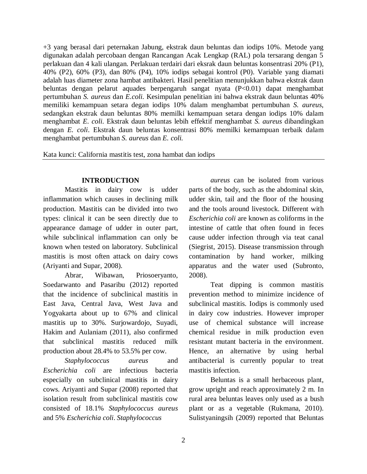+3 yang berasal dari peternakan Jabung, ekstrak daun beluntas dan iodips 10%. Metode yang digunakan adalah percobaan dengan Rancangan Acak Lengkap (RAL) pola tersarang dengan 5 perlakuan dan 4 kali ulangan. Perlakuan terdairi dari eksrak daun beluntas konsentrasi 20% (P1), 40% (P2), 60% (P3), dan 80% (P4), 10% iodips sebagai kontrol (P0). Variable yang diamati adalah luas diameter zona hambat antibakteri. Hasil penelitian menunjukkan bahwa ekstrak daun beluntas dengan pelarut aquades berpengaruh sangat nyata (P<0.01) dapat menghambat pertumbuhan *S. aureus* dan *E.coli.* Kesimpulan penelitian ini bahwa ekstrak daun beluntas 40% memiliki kemampuan setara degan iodips 10% dalam menghambat pertumbuhan *S. aureus*, sedangkan ekstrak daun beluntas 80% memilki kemampuan setara dengan iodips 10% dalam menghambat *E. coli.* Ekstrak daun beluntas lebih effektif menghambat *S. aureus* dibandingkan dengan *E. coli*. Ekstrak daun beluntas konsentrasi 80% memilki kemampuan terbaik dalam menghambat pertumbuhan *S. aureus* dan *E. coli.*

Kata kunci: California mastitis test, zona hambat dan iodips

# **INTRODUCTION**

Mastitis in dairy cow is udder inflammation which causes in declining milk production. Mastitis can be divided into two types: clinical it can be seen directly due to appearance damage of udder in outer part, while subclinical inflammation can only be known when tested on laboratory. Subclinical mastitis is most often attack on dairy cows (Ariyanti and Supar, 2008).

Abrar, Wibawan, Priosoeryanto, Soedarwanto and Pasaribu (2012) reported that the incidence of subclinical mastitis in East Java, Central Java, West Java and Yogyakarta about up to 67% and clinical mastitis up to 30%. Surjowardojo, Suyadi, Hakim and Aulaniam (2011), also confirmed that subclinical mastitis reduced milk production about 28.4% to 53.5% per cow.

*Staphylococcus aureus* and *Escherichia coli* are infectious bacteria especially on subclinical mastitis in dairy cows. Ariyanti and Supar (2008) reported that isolation result from subclinical mastitis cow consisted of 18.1% *Staphylococcus aureus*  and 5% *Escherichia coli*. *Staphylococcus* 

*aureus* can be isolated from various parts of the body, such as the abdominal skin, udder skin, tail and the floor of the housing and the tools around livestock. Different with *Escherichia coli* are known as coliforms in the intestine of cattle that often found in feces cause udder infection through via teat canal (Siegrist, 2015). Disease transmission through contamination by hand worker, milking apparatus and the water used (Subronto, 2008).

Teat dipping is common mastitis prevention method to minimize incidence of subclinical mastitis. Iodips is commonly used in dairy cow industries. However improper use of chemical substance will increase chemical residue in milk production even resistant mutant bacteria in the environment. Hence, an alternative by using herbal antibacterial is currently popular to treat mastitis infection.

Beluntas is a small herbaceous plant, grow upright and reach approximately 2 m. In rural area beluntas leaves only used as a bush plant or as a vegetable (Rukmana, 2010). Sulistyaningsih (2009) reported that Beluntas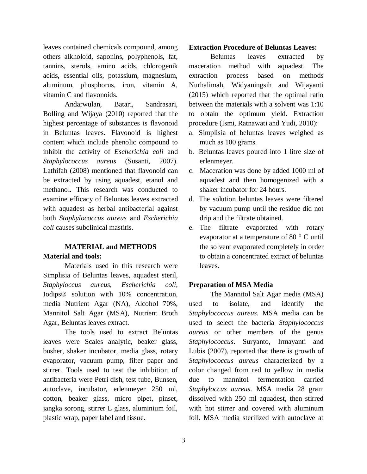leaves contained chemicals compound, among others alkholoid, saponins, polyphenols, fat, tannins, sterols, amino acids, chlorogenik acids, essential oils, potassium, magnesium, aluminum, phosphorus, iron, vitamin A, vitamin C and flavonoids.

Andarwulan, Batari, Sandrasari, Bolling and Wijaya (2010) reported that the highest percentage of substances is flavonoid in Beluntas leaves. Flavonoid is highest content which include phenolic compound to inhibit the activity of *Escherichia coli* and *Staphylococcus aureus* (Susanti, 2007)*.* Lathifah (2008) mentioned that flavonoid can be extracted by using aquadest, etanol and methanol. This research was conducted to examine efficacy of Beluntas leaves extracted with aquadest as herbal antibacterial against both *Staphylococcus aureus* and *Escherichia coli* causes subclinical mastitis.

# **MATERIAL and METHODS Material and tools:**

Materials used in this research were Simplisia of Beluntas leaves, aquadest steril, *Staphyloccus aureus, Escherichia coli,*  Iodips® solution with 10% concentration, media Nutrient Agar (NA), Alcohol 70%, Mannitol Salt Agar (MSA), Nutrient Broth Agar, Beluntas leaves extract.

The tools used to extract Beluntas leaves were Scales analytic, beaker glass, busher, shaker incubator, media glass, rotary evaporator, vacuum pump, filter paper and stirrer. Tools used to test the inhibition of antibacteria were Petri dish, test tube, Bunsen, autoclave, incubator, erlenmeyer 250 ml, cotton, beaker glass, micro pipet, pinset, jangka sorong, stirrer L glass, aluminium foil, plastic wrap, paper label and tissue.

# **Extraction Procedure of Beluntas Leaves:**

Beluntas leaves extracted by maceration method with aquadest. The extraction process based on methods Nurhalimah, Widyaningsih and Wijayanti (2015) which reported that the optimal ratio between the materials with a solvent was 1:10 to obtain the optimum yield. Extraction procedure (Ismi, Ratnawati and Yudi, 2010):

- a. Simplisia of beluntas leaves weighed as much as 100 grams.
- b. Beluntas leaves poured into 1 litre size of erlenmeyer.
- c. Maceration was done by added 1000 ml of aquadest and then homogenized with a shaker incubator for 24 hours.
- d. The solution beluntas leaves were filtered by vacuum pump until the residue did not drip and the filtrate obtained.
- e. The filtrate evaporated with rotary evaporator at a temperature of 80 ° C until the solvent evaporated completely in order to obtain a concentrated extract of beluntas leaves.

#### **Preparation of MSA Media**

The Mannitol Salt Agar media (MSA) used to isolate, and identify the *Staphylococcus aureus*. MSA media can be used to select the bacteria *Staphylococcus aureus* or other members of the genus *Staphylococcus*. Suryanto, Irmayanti and Lubis (2007), reported that there is growth of *Staphylococcus aureus* characterized by a color changed from red to yellow in media due to mannitol fermentation carried *Staphyloccus aureus*. MSA media 28 gram dissolved with 250 ml aquadest, then stirred with hot stirrer and covered with aluminum foil. MSA media sterilized with autoclave at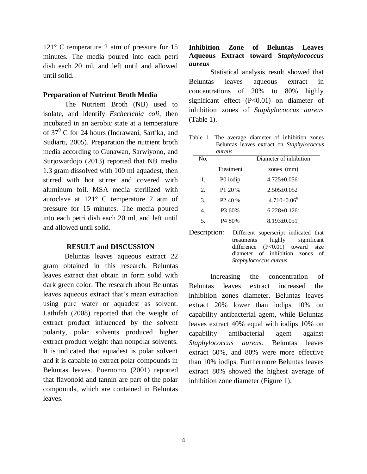121° C temperature 2 atm of pressure for 15 minutes. The media poured into each petri dish each 20 ml, and left until and allowed until solid.

#### **Preparation of Nutrient Broth Media**

The Nutrient Broth (NB) used to isolate, and identify *Escherichia coli*, then incubated in an aerobic state at a temperature of  $37^0$  C for 24 hours (Indrawani, Sartika, and Sudiarti, 2005). Preparation the nutrient broth media according to Gunawan, Sarwiyono, and Surjowardojo (2013) reported that NB media 1.3 gram dissolved with 100 ml aquadest, then stirred with hot stirrer and covered with aluminum foil. MSA media sterilized with autoclave at 121° C temperature 2 atm of pressure for 15 minutes. The media poured into each petri dish each 20 ml, and left until and allowed until solid.

#### **RESULT and DISCUSSION**

Beluntas leaves aqueous extract 22 gram obtained in this research. Beluntas leaves extract that obtain in form solid with dark green color. The research about Beluntas leaves aqueous extract that's mean extraction using pure water or aquadest as solvent. Lathifah (2008) reported that the weight of extract product influenced by the solvent polarity, polar solvents produced higher extract product weight than nonpolar solvents. It is indicated that aquadest is polar solvent and it is capable to extract polar compounds in Beluntas leaves. Poernomo (2001) reported that flavonoid and tannin are part of the polar compounds, which are contained in Beluntas leaves.

# **Inhibition Zone of Beluntas Leaves Aqueous Extract toward** *Staphylococcus aureus*

Statistical analysis result showed that Beluntas leaves aqueous extract in concentrations of 20% to 80% highly significant effect (P<0.01) on diameter of inhibition zones of *Staphylococcus aureus* (Table 1).

Table 1. The average diameter of inhibition zones Beluntas leaves extract on *Staphylococcus* 

|                | aureus              |                                |
|----------------|---------------------|--------------------------------|
| No.            |                     | Diameter of inhibition         |
|                | Treatment           | zones (mm)                     |
| 1.             | P0 iodip            | $4.725 \pm 0.056^{\circ}$      |
| 2.             | P1 20 %             | $2.505 \pm 0.052$ <sup>a</sup> |
| 3.             | P <sub>2</sub> 40 % | $4.710 \pm 0.06^b$             |
| $\mathbf{4}$ . | P3 60%              | $6.228 \pm 0.126$ <sup>c</sup> |
| 5.             | P <sub>4</sub> 80%  | $8.193 \pm 0.051$ <sup>d</sup> |

Description: Different superscript indicated that treatments highly significant difference (P<0.01) toward size diameter of inhibition zones of *Staphylococcus aureus*.

Increasing the concentration of Beluntas leaves extract increased the inhibition zones diameter. Beluntas leaves extract 20% lower than iodips 10% on capability antibacterial agent, while Beluntas leaves extract 40% equal with iodips 10% on capability antibacterial agent against *Staphylococcus aureus*. Beluntas leaves extract 60%, and 80% were more effective than 10% iodips. Furthermore Beluntas leaves extract 80% showed the highest average of inhibition zone diameter (Figure 1).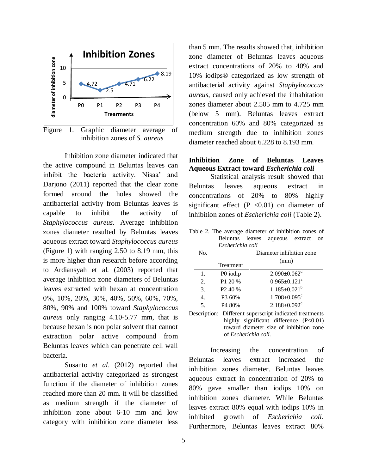

Figure 1. Graphic diameter average of inhibition zones of *S. aureus*

Inhibition zone diameter indicated that the active compound in Beluntas leaves can inhibit the bacteria activity. Nisaa' and Darjono (2011) reported that the clear zone formed around the holes showed the antibacterial activity from Beluntas leaves is capable to inhibit the activity of *Staphylococcus aureus.* Average inhibition zones diameter resulted by Beluntas leaves aqueous extract toward *Staphylococcus aureus* (Figure 1) with ranging 2.50 to 8.19 mm, this is more higher than research before according to Ardiansyah et al. (2003) reported that average inhibition zone diameters of Beluntas leaves extracted with hexan at concentration 0%, 10%, 20%, 30%, 40%, 50%, 60%, 70%, 80%, 90% and 100% toward *Staphylococcus aureus* only ranging 4.10-5.77 mm, that is because hexan is non polar solvent that cannot extraction polar active compound from Beluntas leaves which can penetrate cell wall bacteria.

Susanto *et al*. (2012) reported that antibacterial activity categorized as strongest function if the diameter of inhibition zones reached more than 20 mm. it will be classified as medium strength if the diameter of inhibition zone about 6-10 mm and low category with inhibition zone diameter less

extract concentrations of 20% to 40% and 10% iodips® categorized as low strength of antibacterial activity against *Staphylococcus aureus*, caused only achieved the inhabitation zones diameter about 2.505 mm to 4.725 mm (below 5 mm). Beluntas leaves extract concentration 60% and 80% categorized as medium strength due to inhibition zones diameter reached about 6.228 to 8.193 mm. **Inhibition Zone of Beluntas Leaves Aqueous Extract toward** *Escherichia coli* Statistical analysis result showed that

than 5 mm. The results showed that, inhibition zone diameter of Beluntas leaves aqueous

Beluntas leaves aqueous extract in concentrations of 20% to 80% highly significant effect  $(P \le 0.01)$  on diameter of inhibition zones of *Escherichia coli* (Table 2).

Table 2. The average diameter of inhibition zones of Beluntas leaves aqueous extract on

|     | Escherichia coli         |                                |
|-----|--------------------------|--------------------------------|
| No. | Diameter inhibition zone |                                |
|     | <b>Treatment</b>         | (mm)                           |
| 1.  | P0 iodip                 | $2.090 \pm 0.062$ <sup>d</sup> |
| 2.  | P1 20 %                  | $0.965 \pm 0.121$ <sup>a</sup> |
| 3.  | P <sub>2</sub> 40 %      | $1.185 \pm 0.021^b$            |
| 4.  | P3 60%                   | $1.708 \pm 0.095$ <sup>c</sup> |
| 5.  | P4 80%                   | $2.188 \pm 0.092$ <sup>d</sup> |

Description: Different superscript indicated treatments highly significant difference (P<0.01) toward diameter size of inhibition zone of *Escherichia coli.*

Increasing the concentration of Beluntas leaves extract increased the inhibition zones diameter. Beluntas leaves aqueous extract in concentration of 20% to 80% gave smaller than iodips 10% on inhibition zones diameter. While Beluntas leaves extract 80% equal with iodips 10% in inhibited growth of *Escherichia coli*. Furthermore, Beluntas leaves extract 80%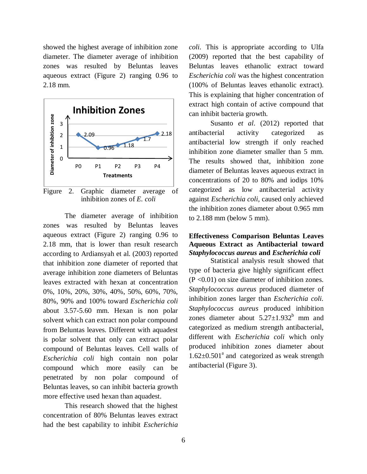showed the highest average of inhibition zone diameter. The diameter average of inhibition zones was resulted by Beluntas leaves aqueous extract (Figure 2) ranging 0.96 to 2.18 mm.



Figure 2. Graphic diameter average of inhibition zones of *E. coli*

The diameter average of inhibition zones was resulted by Beluntas leaves aqueous extract (Figure 2) ranging 0.96 to 2.18 mm, that is lower than result research according to Ardiansyah et al. (2003) reported that inhibition zone diameter of reported that average inhibition zone diameters of Beluntas leaves extracted with hexan at concentration 0%, 10%, 20%, 30%, 40%, 50%, 60%, 70%, 80%, 90% and 100% toward *Escherichia coli* about 3.57-5.60 mm. Hexan is non polar solvent which can extract non polar compound from Beluntas leaves. Different with aquadest is polar solvent that only can extract polar compound of Beluntas leaves. Cell walls of *Escherichia coli* high contain non polar compound which more easily can be penetrated by non polar compound of Beluntas leaves, so can inhibit bacteria growth more effective used hexan than aquadest.

This research showed that the highest concentration of 80% Beluntas leaves extract had the best capability to inhibit *Escherichia* 

*coli.* This is appropriate according to Ulfa (2009) reported that the best capability of Beluntas leaves ethanolic extract toward *Escherichia coli* was the highest concentration (100% of Beluntas leaves ethanolic extract). This is explaining that higher concentration of extract high contain of active compound that can inhibit bacteria growth.

Susanto *et al*. (2012) reported that antibacterial activity categorized as antibacterial low strength if only reached inhibition zone diameter smaller than 5 mm. The results showed that, inhibition zone diameter of Beluntas leaves aqueous extract in concentrations of 20 to 80% and iodips 10% categorized as low antibacterial activity against *Escherichia coli,* caused only achieved the inhibition zones diameter about 0.965 mm to 2.188 mm (below 5 mm).

## **Effectiveness Comparison Beluntas Leaves Aqueous Extract as Antibacterial toward**  *Staphylococcus aureus* **and** *Escherichia coli*

Statistical analysis result showed that type of bacteria give highly significant effect (P <0.01) on size diameter of inhibition zones. *Staphylococcus aureus* produced diameter of inhibition zones larger than *Escherichia coli. Staphylococcus aureus* produced inhibition zones diameter about  $5.27 \pm 1.932^b$  mm and categorized as medium strength antibacterial, different with *Escherichia coli* which only produced inhibition zones diameter about  $1.62 \pm 0.501$ <sup>a</sup> and categorized as weak strength antibacterial (Figure 3).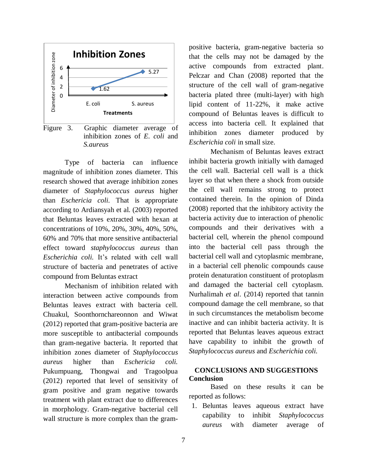

Figure 3. Graphic diameter average of inhibition zones of *E. coli* and *S.aureus*

Type of bacteria can influence magnitude of inhibition zones diameter. This research showed that average inhibition zones diameter of *Staphylococcus aureus* higher than *Eschericia coli.* That is appropriate according to Ardiansyah et al. (2003) reported that Beluntas leaves extracted with hexan at concentrations of 10%, 20%, 30%, 40%, 50%, 60% and 70% that more sensitive antibacterial effect toward *staphylococcus aureus* than *Escherichia coli.* It's related with cell wall structure of bacteria and penetrates of active compound from Beluntas extract

Mechanism of inhibition related with interaction between active compounds from Beluntas leaves extract with bacteria cell. Chuakul, Soonthornchareonnon and Wiwat (2012) reported that gram-positive bacteria are more susceptible to antibacterial compounds than gram-negative bacteria. It reported that inhibition zones diameter of *Staphylococcus aureus* higher than *Eschericia coli.* Pukumpuang, Thongwai and Tragoolpua (2012) reported that level of sensitivity of gram positive and gram negative towards treatment with plant extract due to differences in morphology. Gram-negative bacterial cell wall structure is more complex than the grampositive bacteria, gram-negative bacteria so that the cells may not be damaged by the active compounds from extracted plant. Pelczar and Chan (2008) reported that the structure of the cell wall of gram-negative bacteria plated three (multi-layer) with high lipid content of 11-22%, it make active compound of Beluntas leaves is difficult to access into bacteria cell. It explained that inhibition zones diameter produced by *Escherichia coli* in small size.

Mechanism of Beluntas leaves extract inhibit bacteria growth initially with damaged the cell wall. Bacterial cell wall is a thick layer so that when there a shock from outside the cell wall remains strong to protect contained therein. In the opinion of Dinda (2008) reported that the inhibitory activity the bacteria activity due to interaction of phenolic compounds and their derivatives with a bacterial cell, wherein the phenol compound into the bacterial cell pass through the bacterial cell wall and cytoplasmic membrane, in a bacterial cell phenolic compounds cause protein denaturation constituent of protoplasm and damaged the bacterial cell cytoplasm. Nurhalimah *et al*. (2014) reported that tannin compound damage the cell membrane, so that in such circumstances the metabolism become inactive and can inhibit bacteria activity. It is reported that Beluntas leaves aqueous extract have capability to inhibit the growth of *Staphylococcus aureus* and *Escherichia coli.*

# **CONCLUSIONS AND SUGGESTIONS Conclusion**

Based on these results it can be reported as follows:

1. Beluntas leaves aqueous extract have capability to inhibit *Staphylococcus aureus* with diameter average of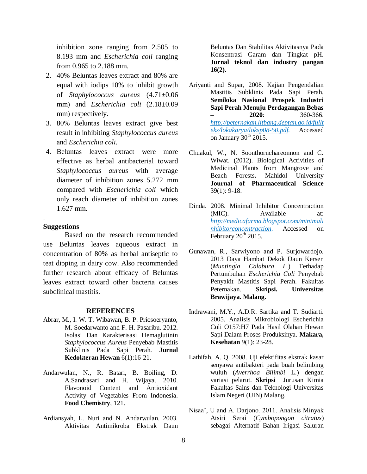inhibition zone ranging from 2.505 to 8.193 mm and *Escherichia coli* ranging from 0.965 to 2.188 mm.

- 2. 40% Beluntas leaves extract and 80% are equal with iodips 10% to inhibit growth of *Staphylococcus aureus* (4.71±0.06 mm) and *Escherichia coli* (2.18±0.09 mm) respectively.
- 3. 80% Beluntas leaves extract give best result in inhibiting *Staphylococcus aureus* and *Escherichia coli.*
- 4. Beluntas leaves extract were more effective as herbal antibacterial toward *Staphylococcus aureus* with average diameter of inhibition zones 5.272 mm compared with *Escherichia coli* which only reach diameter of inhibition zones 1.627 mm.

#### **Suggestions**

.

Based on the research recommended use Beluntas leaves aqueous extract in concentration of 80% as herbal antiseptic to teat dipping in dairy cow. Also recommended further research about efficacy of Beluntas leaves extract toward other bacteria causes subclinical mastitis.

#### **REFERENCES**

- Abrar, M., I. W. T. Wibawan, B. P. Priosoeryanto, M. Soedarwanto and F. H. Pasaribu. 2012. Isolasi Dan Karakterisasi Hemaglutinin *Staphylococcus Aureus* Penyebab Mastitis Subklinis Pada Sapi Perah. **Jurnal Kedokteran Hewan** 6(1):16-21.
- Andarwulan, N., R. Batari, B. Boiling, D. A.Sandrasari and H. Wijaya. 2010. Flavonoid Content and Antioxidant Activity of Vegetables From Indonesia. **Food Chemistry**, 121.
- Ardiansyah, L. Nuri and N. Andarwulan. 2003. Aktivitas Antimikroba Ekstrak Daun

Beluntas Dan Stabilitas Aktivitasnya Pada Konsentrasi Garam dan Tingkat pH. **Jurnal teknol dan industry pangan 16(2).**

- Ariyanti and Supar, 2008. Kajian Pengendalian Mastitis Subklinis Pada Sapi Perah. **Semiloka Nasional Prospek Industri Sapi Perah Menuju Perdagangan Bebas – 2020**: 360-366. *[http://peternakan.litbang.deptan.go.id/fullt](http://peternakan.litbang.deptan.go.id/fullteks/lokakarya/loksp08-50.pdf) [eks/lokakarya/loksp08-50.pdf.](http://peternakan.litbang.deptan.go.id/fullteks/lokakarya/loksp08-50.pdf)* Accessed on January  $30<sup>th</sup>$  2015.
- Chuakul, W., N. Soonthornchareonnon and C. Wiwat. (2012). Biological Activities of Medicinal Plants from Mangrove and Beach Forests**.** Mahidol University **Journal of Pharmaceutical Science** 39(1): 9-18.
- Dinda. 2008. Minimal Inhibitor Concentraction (MIC). Available at: *[http://medicafarma.blogspot.com/minimali](http://medicafarma.blogspot.com/minimalinhibitorconcentraction) [nhibitorconcentraction](http://medicafarma.blogspot.com/minimalinhibitorconcentraction)*. Accessed on February  $20<sup>th</sup>$  2015.
- Gunawan, R., Sarwiyono and P. Surjowardojo. 2013 Daya Hambat Dekok Daun Kersen (*Muntingia Calabura L.*) Terhadap Pertumbuhan *Escherichia Coli* Penyebab Penyakit Mastitis Sapi Perah. Fakultas Peternakan. **Skripsi. Universitas Brawijaya. Malang.**
- Indrawani, M.Y., A.D.R. Sartika and T. Sudiarti. 2005. Analisis Mikrobiologi Escherichia Coli O157:H7 Pada Hasil Olahan Hewan Sapi Dalam Proses Produksinya. **Makara, Kesehatan** 9(1): 23-28.
- Lathifah, A. Q. 2008. Uji efektifitas ekstrak kasar senyawa antibakteri pada buah belimbing wuluh (*Averrhoa Bilimbi* L.) dengan variasi pelarut. **Skripsi** Jurusan Kimia Fakultas Sains dan Teknologi Universitas Islam Negeri (UIN) Malang.
- Nisaa', U and A. Darjono. 2011. Analisis Minyak Atsiri Serai (*Cymbopongon citratus*) sebagai Alternatif Bahan Irigasi Saluran